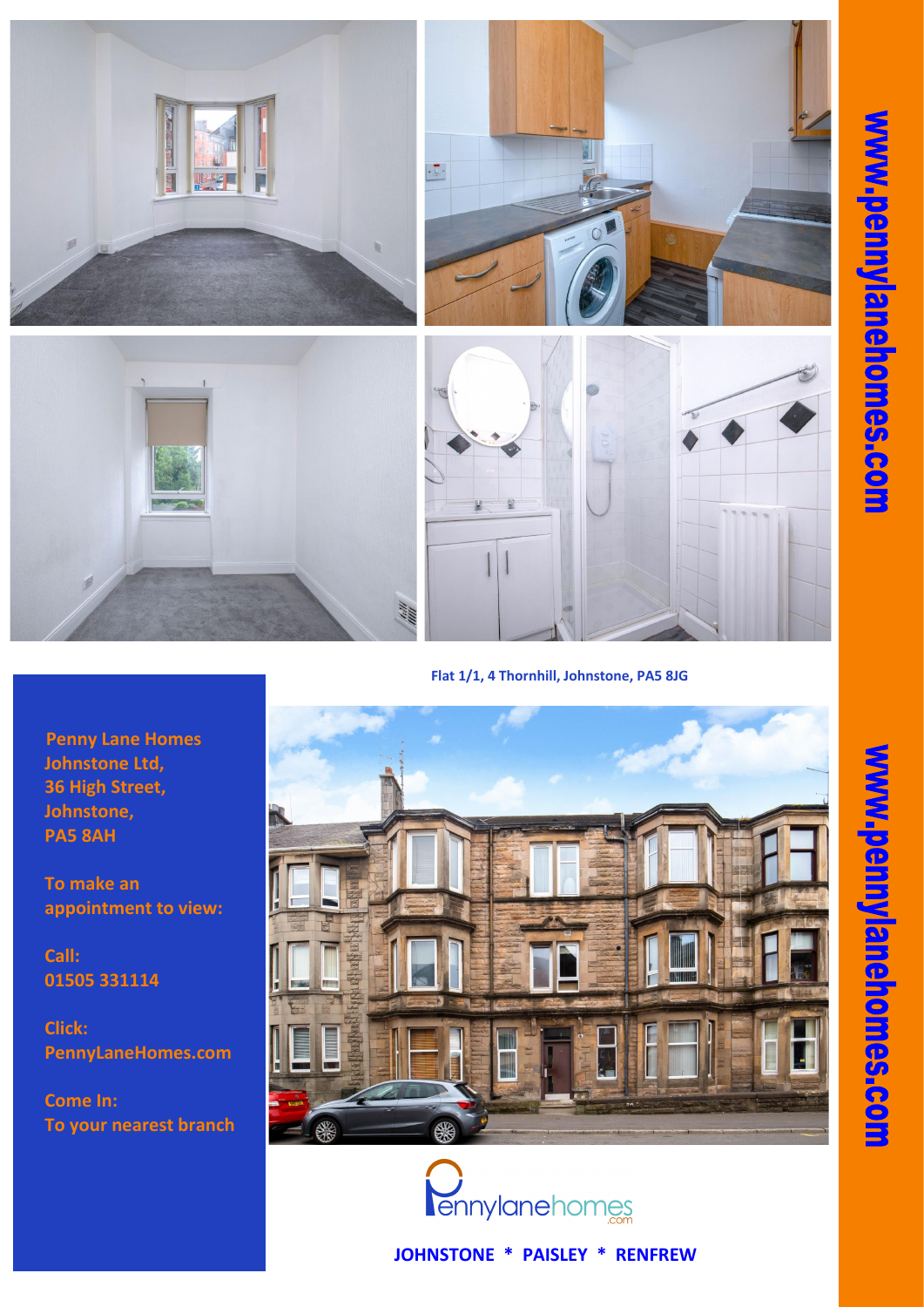**JOHNSTONE \* PAISLEY \* RENFREW**

**Penny Lane Homes Johnstone Ltd, 36 High Street, Johnstone, PA5 8AH**

**To make an appointment to view:**

**Call: 01505 331114** ww.pennylanel

**Jomes-com** 

## **Click: PennyLaneHomes.com**

## **Come In: To your nearest branch**





**Flat 1/1, 4 Thornhill, Johnstone, PA5 8JG**